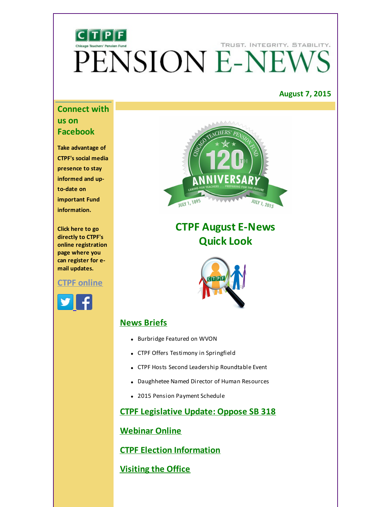# TRUST. INTEGRITY. STABILITY. PENSION E-NEW

# **August 7, 2015**

# **Connect with us on Facebook**

**Take advantage of CTPF's social media presence to stay informed and upto-date on important Fund information.**

**Click here to go directly to CTPF's online registration page where you can register for email updates.**

# **CTPF [online](http://r20.rs6.net/tn.jsp?f=001jzQdQN5fgtvbTPWayTgwi1vhrDMeDVniQW-_bY0kxmkdFiTXE0so0UdEzWKqgjqpJoBHpj90-pnpvwXWQZMaSPYFaGNrTLCd1nJNdfaRh1zSNuc7DbrmacUNO2CkJ-sKI-vBDZJCf-Dt4JWLpcSIx56_lTpA1AelMn8MOhilcVrOyO4yPWvNvrGG8r8TRozDwYotOc5oc5E=&c=&ch=)**





# **CTPF August E-News Quick Look**



# **News Briefs**

- Burbridge Featured on WVON
- CTPF Offers Testimony in Springfield
- CTPF Hosts Second Leadership Roundtable Event
- Daughhetee Named Director of Human Resources
- 2015 Pension Payment Schedule

# **CTPF [Legislative](#page-2-0) Update: Oppose SB 318**

# **Webinar Online**

**CTPF Election [Information](#page-3-0)**

# **[Visiting](#page-4-0) the Office**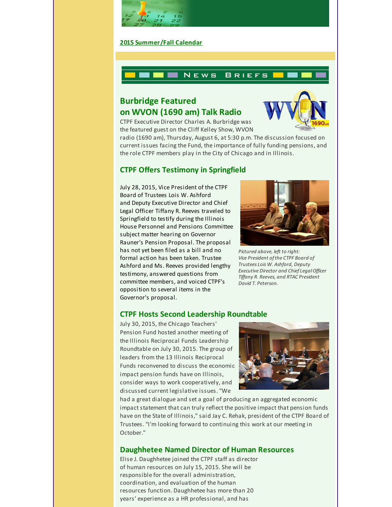

#### **2015 [Summer/Fall](#page-4-1) Calendar**



# **Burbridge Featured on WVON (1690 am) Talk Radio**



CTPF Executive Director Charles A. Burbridge was the featured guest on the Cliff Kelley Show, WVON

radio (1690 am), Thursday, August 6, at 5:30 p.m. The discussion focused on current issues facing the Fund, the importance of fully funding pensions, and the role CTPF members play in the City of Chicago and in Illinois.

# **CTPF Offers Testimony in Springfield**

July 28, 2015, Vice President of the CTPF Board of Trustees Lois W. Ashford and Deputy Executive Director and Chief Legal Officer Tiffany R. Reeves traveled to Springfield to testify during the Illinois House Personnel and Pensions Committee subject matter hearing on Governor Rauner's Pension Proposal. The proposal has not yet been filed as a bill and no formal action has been taken. Trustee Ashford and Ms. Reeves provided lengthy testimony, answered questions from committee members, and voiced CTPF's opposition to several items in the Governor's proposal.



*Pictured above, left to right: Vice President ofthe CTPF Board of Trustees Lois W. Ashford, Deputy Executive Director and Chief LegalOfficer Tiffany R. Reeves, and RTAC President David T. Peterson.*

### **CTPF Hosts Second Leadership Roundtable**

July 30, 2015, the Chicago Teachers' Pension Fund hosted another meeting of the Illinois Reciprocal Funds Leadership Roundtable on July 30, 2015. The group of leaders from the 13 Illinois Reciprocal Funds reconvened to discuss the economic impact pension funds have on Illinois, consider ways to work cooperatively, and discussed current legislative issues. "We



had a great dialogue and set a goal of producing an aggregated economic impact statement that can truly reflect the positive impact that pension funds have on the State of Illinois," said Jay C. Rehak, president of the CTPF Board of Trustees. "I'm looking forward to continuing this work at our meeting in October."

### **Daughhetee Named Director of Human Resources**

Elise J. Daughhetee joined the CTPF staff as director of human resources on July 15, 2015. She will be responsible for the overall administration, coordination, and evaluation of the human resources function. Daughhetee has more than 20 years' experience as a HR professional, and has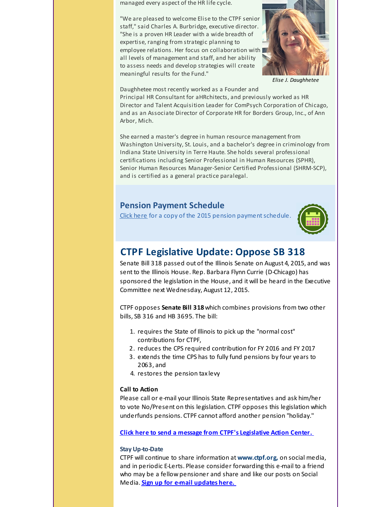managed every aspect of the HR life cycle.

"We are pleased to welcome Elise to the CTPF senior staff," said Charles A. Burbridge, executive director. "She is a proven HR Leader with a wide breadth of expertise, ranging from strategic planning to employee relations. Her focus on collaboration with all levels of management and staff, and her ability to assess needs and develop strategies will create meaningful results for the Fund."



*Elise J. Daughhetee*

Daughhetee most recently worked as a Founder and Principal HR Consultant for aHRchitects, and previously worked as HR Director and Talent Acquisition Leader for ComPsych Corporation of Chicago, and as an Associate Director of Corporate HR for Borders Group, Inc., of Ann Arbor, Mich.

She earned a master's degree in human resource management from Washington University, St. Louis, and a bachelor's degree in criminology from Indiana State University in Terre Haute. She holds several professional certifications including Senior Professional in Human Resources (SPHR), Senior Human Resources Manager-Senior Certified Professional (SHRM-SCP), and is certified as a general practice paralegal.

# **Pension Payment Schedule**

Click [here](http://r20.rs6.net/tn.jsp?f=001jzQdQN5fgtvbTPWayTgwi1vhrDMeDVniQW-_bY0kxmkdFiTXE0so0QIyPOxjAA5RCbNiNZiYCjdlGLBHF3s_kiM6UNnQWvNu4uIT7FarHajgcqSRMPWZeagOslNcg-pultAJXS2Kd6H002pkwTmX8iBQujS4w_fwq9BG993PMyyN3mHZQKmKZ6RgbLcV-g2xC3w8t73DYB-OKofTxcWgTCeqHhr2wmZIQixbhjfLZ0dG30BBrgyE3g==&c=&ch=) for a copy of the 2015 pension payment schedule.



# <span id="page-2-0"></span>**CTPF Legislative Update: Oppose SB 318**

Senate Bill 318 passed out of the Illinois Senate on August 4, 2015, and was sent to the Illinois House. Rep. Barbara Flynn Currie (D-Chicago) has sponsored the legislation in the House, and it will be heard in the Executive Committee next Wednesday, August 12, 2015.

CTPF opposes **Senate Bill 318**which combines provisions from two other bills, SB 316 and HB 3695. The bill:

- 1. requires the State of Illinois to pick up the "normal cost" contributions for CTPF,
- 2. reduces the CPS required contribution for FY 2016 and FY 2017
- 3. extends the time CPS has to fully fund pensions by four years to 2063, and
- 4. restores the pension tax levy

#### **Call to Action**

Please call or e-mail your Illinois State Representatives and ask him/her to vote No/Present on this legislation. CTPF opposes this legislation which underfunds pensions. CTPF cannot afford another pension "holiday."

**Click here to send a message from CTPF's [Legislative](http://r20.rs6.net/tn.jsp?f=001jzQdQN5fgtvbTPWayTgwi1vhrDMeDVniQW-_bY0kxmkdFiTXE0so0cka5wKWSDcAIYY2dTAtY-hUAhAdiaYU2jeggFaA004f6hRDfNTWGDVCu1qHThTgWm0MvKnYepGFFpw7N4gONo5SDmh3vtULzrYdvf5BGoZnEvyCz68eZHWBCBDj1wx4RvZg22Rn7-Bh&c=&ch=) Action Center.**

#### **Stay Up-to-Date**

CTPF will continue to share information at **www.ctpf.org,** on social media, and in periodic E-Lerts. Please consider forwarding this e-mail to a friend who may be a fellow pensioner and share and like our posts on Social Media. **Sign up for e-mail [updates](http://r20.rs6.net/tn.jsp?f=001jzQdQN5fgtvbTPWayTgwi1vhrDMeDVniQW-_bY0kxmkdFiTXE0so0UdEzWKqgjqpJoBHpj90-pnpvwXWQZMaSPYFaGNrTLCd1nJNdfaRh1zSNuc7DbrmacUNO2CkJ-sKI-vBDZJCf-Dt4JWLpcSIx56_lTpA1AelMn8MOhilcVrOyO4yPWvNvrGG8r8TRozDwYotOc5oc5E=&c=&ch=) here.**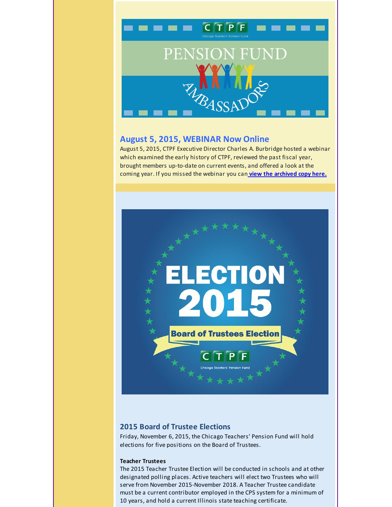

### **August 5, 2015, WEBINAR Now Online**

August 5, 2015, CTPF Executive Director Charles A. Burbridge hosted a webinar which examined the early history of CTPF, reviewed the past fiscal year, brought members up-to-date on current events, and offered a look at the coming year. If you missed the webinar you can **view the [archived](http://r20.rs6.net/tn.jsp?f=001jzQdQN5fgtvbTPWayTgwi1vhrDMeDVniQW-_bY0kxmkdFiTXE0so0QGjcZuv_qIa0ZJi9bwLnqEaPKCYTX-p_Ysy2ZcIJEDCiwAbt1QIF16yDEJnqnMBt8yfFUVs6czduXhb-m_vDlkoauw4R1mmQ7aDr4MLvP7ada4bBxu1scLu5dE0lmV7Zb9ln9SKNGWLY_nzYzbYwabCvNPUmgqGMB9tUukklU_v&c=&ch=) copy here.**



### <span id="page-3-0"></span>**2015 Board of Trustee Elections**

Friday, November 6, 2015, the Chicago Teachers' Pension Fund will hold elections for five positions on the Board of Trustees.

#### **Teacher Trustees**

The 2015 Teacher Trustee Election will be conducted in schools and at other designated polling places. Active teachers will elect two Trustees who will serve from November 2015-November 2018. A Teacher Trustee candidate must be a current contributor employed in the CPS system for a minimum of 10 years, and hold a current Illinois state teaching certificate.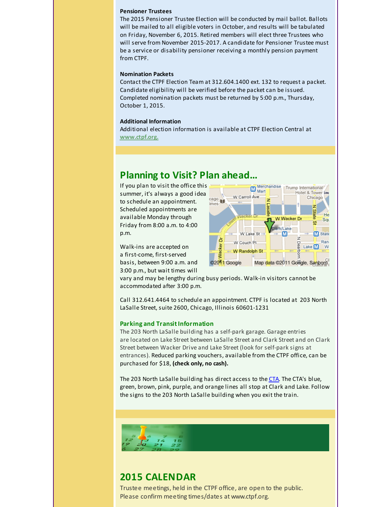#### **Pensioner Trustees**

The 2015 Pensioner Trustee Election will be conducted by mail ballot. Ballots will be mailed to all eligible voters in October, and results will be tabulated on Friday, November 6, 2015. Retired members will elect three Trustees who will serve from November 2015-2017. A candidate for Pensioner Trustee must be a service or disability pensioner receiving a monthly pension payment from CTPF.

#### **Nomination Packets**

Contact the CTPF Election Team at 312.604.1400 ext. 132 to request a packet. Candidate eligibility will be verified before the packet can be issued. Completed nomination packets must be returned by 5:00 p.m., Thursday, October 1, 2015.

#### **Additional Information**

Additional election information is available at CTPF Election Central at **[www.ctpf.org.](http://r20.rs6.net/tn.jsp?f=001jzQdQN5fgtvbTPWayTgwi1vhrDMeDVniQW-_bY0kxmkdFiTXE0so0U9usOCKNxfabU7b6Tnfp_X8yWqtbgk2YShCSd7jDUsSPqAkk21uVRZii1X4LBZ3nsi34KM2oJj5xU5CC8xEadPzMuj3QCBya0RpzP3IGtgiBdOYIyRK7PE=&c=&ch=)**

# <span id="page-4-0"></span>**Planning to Visit? Plan ahead...**

If you plan to visit the office this summer, it's always a good idea to schedule an appointment. Scheduled appointments are available Monday through Friday from 8:00 a.m. to 4:00 p.m.

Walk-ins are accepted on a first-come, first-served basis, between 9:00 a.m. and 3:00 p.m., but wait times will



vary and may be lengthy during busy periods. Walk-in visitors cannot be accommodated after 3:00 p.m.

Call 312.641.4464 to schedule an appointment. CTPF is located at 203 North LaSalle Street, suite 2600, Chicago, Illinois 60601-1231

#### **Parking and TransitInformation**

The 203 North LaSalle building has a self-park garage. Garage entries are located on Lake Street between LaSalle Street and Clark Street and on Clark Street between Wacker Drive and Lake Street (look for self-park signs at entrances). Reduced parking vouchers, available from the CTPF office, can be purchased for \$18, **(check only, no cash).**

The 203 North LaSalle building has direct access to the [CTA](http://r20.rs6.net/tn.jsp?f=001jzQdQN5fgtvbTPWayTgwi1vhrDMeDVniQW-_bY0kxmkdFiTXE0so0e7tOd2CdmJv5UZebFxRVsLU7RRbUCNZaTrIAWiPNf08PJeVPfgv9MMAcQnWEMOLkAQoAtOyX9LjS4JoZVW1JWDfqLPZ6rKwHq0o6mdmIMMUwWXyhRQXRSyL6OeOcE6pgJHx0Z-dRxrQGEFlokRBxeh7iO04nkpQl2Y9vIpPT1is4dwawz4OTkE=&c=&ch=). The CTA's blue, green, brown, pink, purple, and orange lines all stop at Clark and Lake. Follow the signs to the 203 North LaSalle building when you exit the train.



# <span id="page-4-1"></span>**2015 CALENDAR**

Trustee meetings, held in the CTPF office, are open to the public. Please confirm meeting times/dates at www.ctpf.org.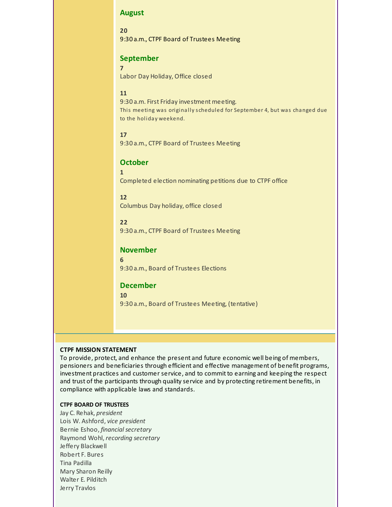#### **August**

**20** 9:30 a.m., CTPF Board of Trustees Meeting

### **September**

**7**

Labor Day Holiday, Office closed

#### **11**

9:30 a.m. First Friday investment meeting. This meeting was originally s cheduled for September 4, but was changed due to the holiday weekend.

#### **17**

9:30 a.m., CTPF Board of Trustees Meeting

### **October**

Completed election nominating petitions due to CTPF office

#### **12**

**1**

Columbus Day holiday, office closed

### **22**

9:30 a.m., CTPF Board of Trustees Meeting

### **November**

9:30 a.m., Board of Trustees Elections

### **December**

**10**

**6**

9:30 a.m., Board of Trustees Meeting, (tentative)

#### **CTPF MISSION STATEMENT**

To provide, protect, and enhance the present and future economic well being of members, pensioners and beneficiaries through efficient and effective management of benefit programs, investment practices and customer service, and to commit to earning and keeping the respect and trust of the participants through quality service and by protecting retirement benefits, in compliance with applicable laws and standards.

#### **CTPF BOARD OF TRUSTEES**

Jay C. Rehak, *president* Lois W. Ashford, *vice president* Bernie Eshoo, *financial secretary* Raymond Wohl, *recording secretary* Jeffery Blackwell Robert F. Bures Tina Padilla Mary Sharon Reilly Walter E. Pilditch Jerry Travlos